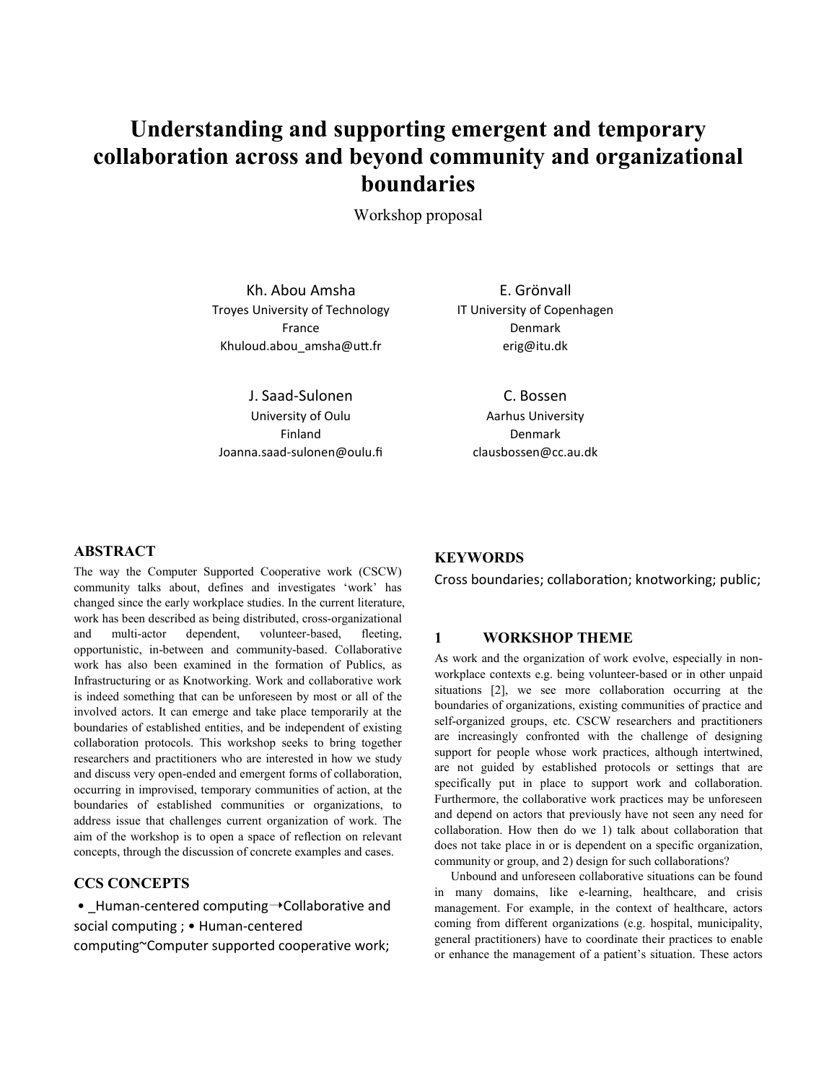# **Understanding and supporting emergent and temporary collaboration across and beyond community and organizational boundaries**

Workshop proposal

Kh. Abou Amsha Troyes University of Technology France Khuloud.abou\_amsha@utt.fr

J. Saad-Sulonen University of Oulu Finland Joanna.saad-sulonen@oulu.fi

E. Grönvall IT University of Copenhagen Denmark erig@itu.dk

C. Bossen Aarhus University Denmark clausbossen@cc.au.dk

#### **ABSTRACT**

The way the Computer Supported Cooperative work (CSCW) community talks about, defines and investigates 'work' has changed since the early workplace studies. In the current literature, work has been described as being distributed, cross-organizational and multi-actor dependent, volunteer-based, fleeting, opportunistic, in-between and community-based. Collaborative work has also been examined in the formation of Publics, as Infrastructuring or as Knotworking. Work and collaborative work is indeed something that can be unforeseen by most or all of the involved actors. It can emerge and take place temporarily at the boundaries of established entities, and be independent of existing collaboration protocols. This workshop seeks to bring together researchers and practitioners who are interested in how we study and discuss very open-ended and emergent forms of collaboration, occurring in improvised, temporary communities of action, at the boundaries of established communities or organizations, to address issue that challenges current organization of work. The aim of the workshop is to open a space of reflection on relevant concepts, through the discussion of concrete examples and cases.

## **CCS CONCEPTS**

• Human-centered computing $\rightarrow$ Collaborative and social computing ; • Human-centered computing~Computer supported cooperative work;

# **KEYWORDS**

Cross boundaries; collaboration; knotworking; public;

## **1 WORKSHOP THEME**

As work and the organization of work evolve, especially in nonworkplace contexts e.g. being volunteer-based or in other unpaid situations [2], we see more collaboration occurring at the boundaries of organizations, existing communities of practice and self-organized groups, etc. CSCW researchers and practitioners are increasingly confronted with the challenge of designing support for people whose work practices, although intertwined, are not guided by established protocols or settings that are specifically put in place to support work and collaboration. Furthermore, the collaborative work practices may be unforeseen and depend on actors that previously have not seen any need for collaboration. How then do we 1) talk about collaboration that does not take place in or is dependent on a specific organization, community or group, and 2) design for such collaborations?

Unbound and unforeseen collaborative situations can be found in many domains, like e-learning, healthcare, and crisis management. For example, in the context of healthcare, actors coming from different organizations (e.g. hospital, municipality, general practitioners) have to coordinate their practices to enable or enhance the management of a patient's situation. These actors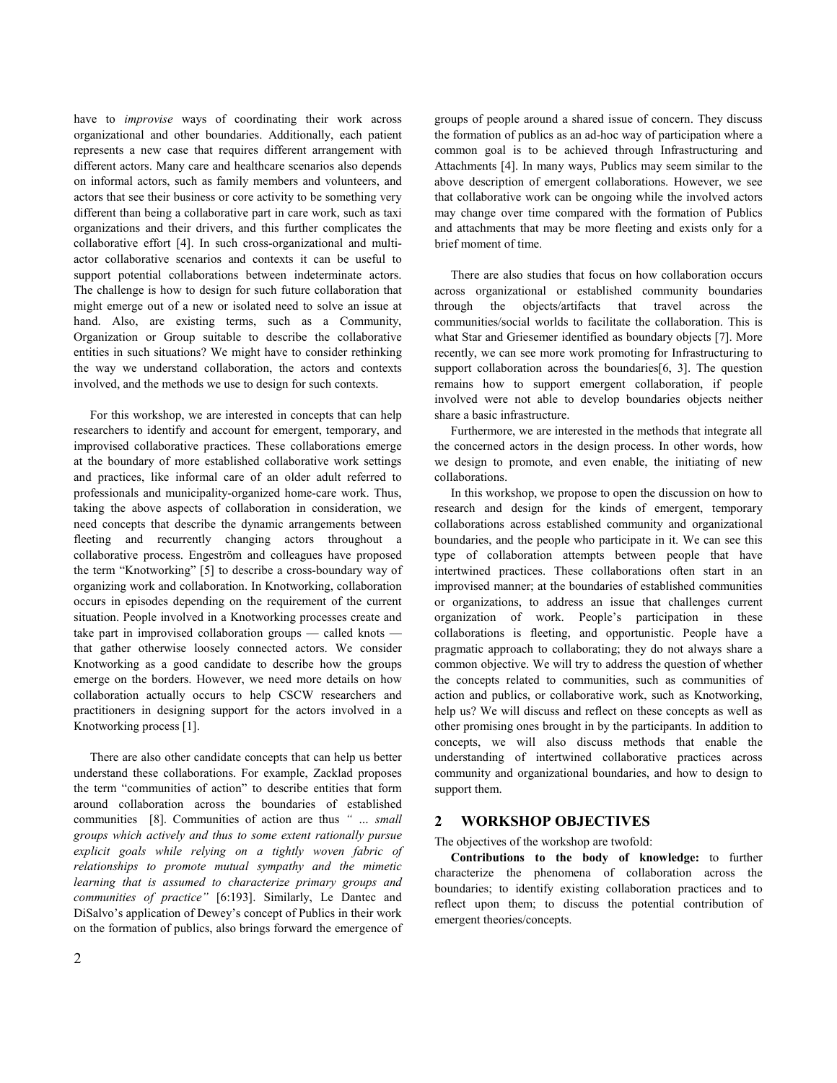have to *improvise* ways of coordinating their work across organizational and other boundaries. Additionally, each patient represents a new case that requires different arrangement with different actors. Many care and healthcare scenarios also depends on informal actors, such as family members and volunteers, and actors that see their business or core activity to be something very different than being a collaborative part in care work, such as taxi organizations and their drivers, and this further complicates the collaborative effort [4]. In such cross-organizational and multiactor collaborative scenarios and contexts it can be useful to support potential collaborations between indeterminate actors. The challenge is how to design for such future collaboration that might emerge out of a new or isolated need to solve an issue at hand. Also, are existing terms, such as a Community, Organization or Group suitable to describe the collaborative entities in such situations? We might have to consider rethinking the way we understand collaboration, the actors and contexts involved, and the methods we use to design for such contexts.

For this workshop, we are interested in concepts that can help researchers to identify and account for emergent, temporary, and improvised collaborative practices. These collaborations emerge at the boundary of more established collaborative work settings and practices, like informal care of an older adult referred to professionals and municipality-organized home-care work. Thus, taking the above aspects of collaboration in consideration, we need concepts that describe the dynamic arrangements between fleeting and recurrently changing actors throughout a collaborative process. Engeström and colleagues have proposed the term "Knotworking" [5] to describe a cross-boundary way of organizing work and collaboration. In Knotworking, collaboration occurs in episodes depending on the requirement of the current situation. People involved in a Knotworking processes create and take part in improvised collaboration groups — called knots that gather otherwise loosely connected actors. We consider Knotworking as a good candidate to describe how the groups emerge on the borders. However, we need more details on how collaboration actually occurs to help CSCW researchers and practitioners in designing support for the actors involved in a Knotworking process [1].

There are also other candidate concepts that can help us better understand these collaborations. For example, Zacklad proposes the term "communities of action" to describe entities that form around collaboration across the boundaries of established communities [8]. Communities of action are thus *" … small groups which actively and thus to some extent rationally pursue explicit goals while relying on a tightly woven fabric of relationships to promote mutual sympathy and the mimetic learning that is assumed to characterize primary groups and communities of practice"* [6:193]. Similarly, Le Dantec and DiSalvo's application of Dewey's concept of Publics in their work on the formation of publics, also brings forward the emergence of groups of people around a shared issue of concern. They discuss the formation of publics as an ad-hoc way of participation where a common goal is to be achieved through Infrastructuring and Attachments [4]. In many ways, Publics may seem similar to the above description of emergent collaborations. However, we see that collaborative work can be ongoing while the involved actors may change over time compared with the formation of Publics and attachments that may be more fleeting and exists only for a brief moment of time.

There are also studies that focus on how collaboration occurs across organizational or established community boundaries through the objects/artifacts that travel across the communities/social worlds to facilitate the collaboration. This is what Star and Griesemer identified as boundary objects [7]. More recently, we can see more work promoting for Infrastructuring to support collaboration across the boundaries [6, 3]. The question remains how to support emergent collaboration, if people involved were not able to develop boundaries objects neither share a basic infrastructure.

Furthermore, we are interested in the methods that integrate all the concerned actors in the design process. In other words, how we design to promote, and even enable, the initiating of new collaborations.

In this workshop, we propose to open the discussion on how to research and design for the kinds of emergent, temporary collaborations across established community and organizational boundaries, and the people who participate in it. We can see this type of collaboration attempts between people that have intertwined practices. These collaborations often start in an improvised manner; at the boundaries of established communities or organizations, to address an issue that challenges current organization of work. People's participation in these collaborations is fleeting, and opportunistic. People have a pragmatic approach to collaborating; they do not always share a common objective. We will try to address the question of whether the concepts related to communities, such as communities of action and publics, or collaborative work, such as Knotworking, help us? We will discuss and reflect on these concepts as well as other promising ones brought in by the participants. In addition to concepts, we will also discuss methods that enable the understanding of intertwined collaborative practices across community and organizational boundaries, and how to design to support them.

# **2 WORKSHOP OBJECTIVES**

The objectives of the workshop are twofold:

**Contributions to the body of knowledge:** to further characterize the phenomena of collaboration across the boundaries; to identify existing collaboration practices and to reflect upon them; to discuss the potential contribution of emergent theories/concepts.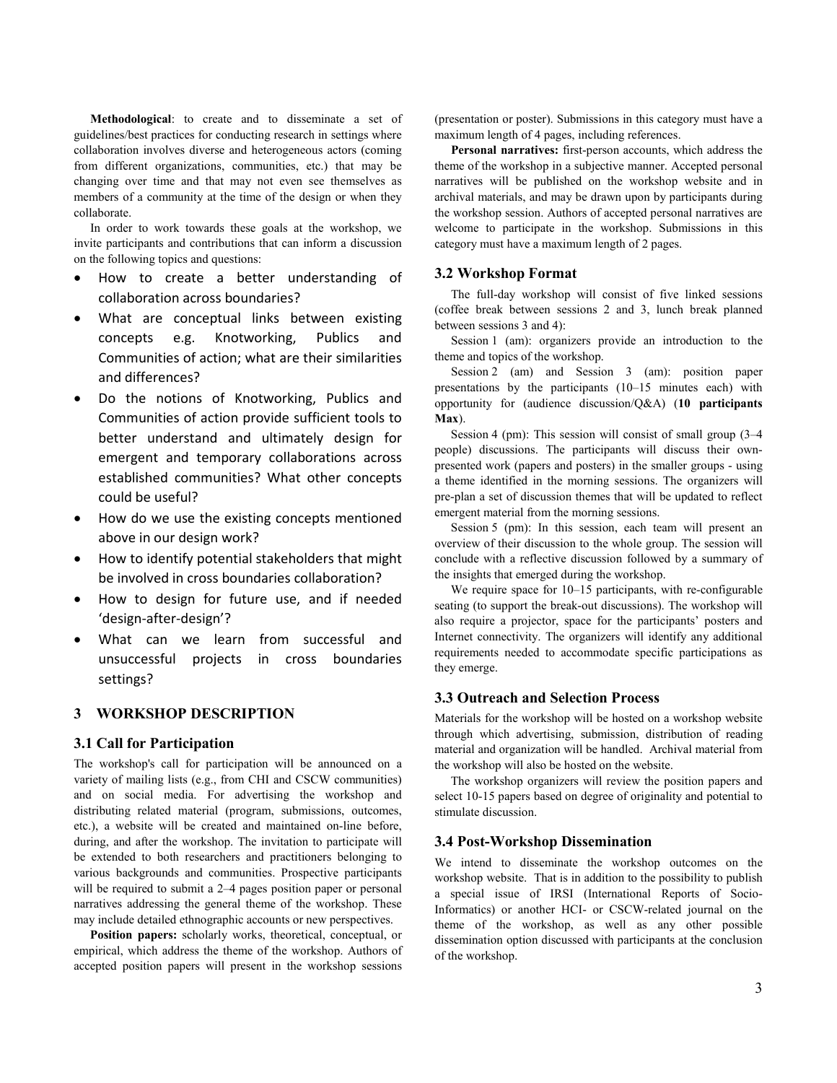**Methodological**: to create and to disseminate a set of guidelines/best practices for conducting research in settings where collaboration involves diverse and heterogeneous actors (coming from different organizations, communities, etc.) that may be changing over time and that may not even see themselves as members of a community at the time of the design or when they collaborate.

In order to work towards these goals at the workshop, we invite participants and contributions that can inform a discussion on the following topics and questions:

- How to create a better understanding of collaboration across boundaries?
- What are conceptual links between existing concepts e.g. Knotworking, Publics and Communities of action; what are their similarities and differences?
- Do the notions of Knotworking, Publics and Communities of action provide sufficient tools to better understand and ultimately design for emergent and temporary collaborations across established communities? What other concepts could be useful?
- How do we use the existing concepts mentioned above in our design work?
- How to identify potential stakeholders that might be involved in cross boundaries collaboration?
- How to design for future use, and if needed 'design-after-design'?
- What can we learn from successful and unsuccessful projects in cross boundaries settings?

# **3 WORKSHOP DESCRIPTION**

#### **3.1 Call for Participation**

The workshop's call for participation will be announced on a variety of mailing lists (e.g., from CHI and CSCW communities) and on social media. For advertising the workshop and distributing related material (program, submissions, outcomes, etc.), a website will be created and maintained on-line before, during, and after the workshop. The invitation to participate will be extended to both researchers and practitioners belonging to various backgrounds and communities. Prospective participants will be required to submit a 2–4 pages position paper or personal narratives addressing the general theme of the workshop. These may include detailed ethnographic accounts or new perspectives.

**Position papers:** scholarly works, theoretical, conceptual, or empirical, which address the theme of the workshop. Authors of accepted position papers will present in the workshop sessions

(presentation or poster). Submissions in this category must have a maximum length of 4 pages, including references.

**Personal narratives:** first-person accounts, which address the theme of the workshop in a subjective manner. Accepted personal narratives will be published on the workshop website and in archival materials, and may be drawn upon by participants during the workshop session. Authors of accepted personal narratives are welcome to participate in the workshop. Submissions in this category must have a maximum length of 2 pages.

#### **3.2 Workshop Format**

The full-day workshop will consist of five linked sessions (coffee break between sessions 2 and 3, lunch break planned between sessions 3 and 4):

Session 1 (am): organizers provide an introduction to the theme and topics of the workshop.

Session 2 (am) and Session 3 (am): position paper presentations by the participants (10–15 minutes each) with opportunity for (audience discussion/Q&A) (**10 participants Max**).

Session 4 (pm): This session will consist of small group (3–4 people) discussions. The participants will discuss their ownpresented work (papers and posters) in the smaller groups - using a theme identified in the morning sessions. The organizers will pre-plan a set of discussion themes that will be updated to reflect emergent material from the morning sessions.

Session 5 (pm): In this session, each team will present an overview of their discussion to the whole group. The session will conclude with a reflective discussion followed by a summary of the insights that emerged during the workshop.

We require space for 10–15 participants, with re-configurable seating (to support the break-out discussions). The workshop will also require a projector, space for the participants' posters and Internet connectivity. The organizers will identify any additional requirements needed to accommodate specific participations as they emerge.

### **3.3 Outreach and Selection Process**

Materials for the workshop will be hosted on a workshop website through which advertising, submission, distribution of reading material and organization will be handled. Archival material from the workshop will also be hosted on the website.

The workshop organizers will review the position papers and select 10-15 papers based on degree of originality and potential to stimulate discussion.

## **3.4 Post-Workshop Dissemination**

We intend to disseminate the workshop outcomes on the workshop website. That is in addition to the possibility to publish a special issue of IRSI (International Reports of Socio-Informatics) or another HCI- or CSCW-related journal on the theme of the workshop, as well as any other possible dissemination option discussed with participants at the conclusion of the workshop.